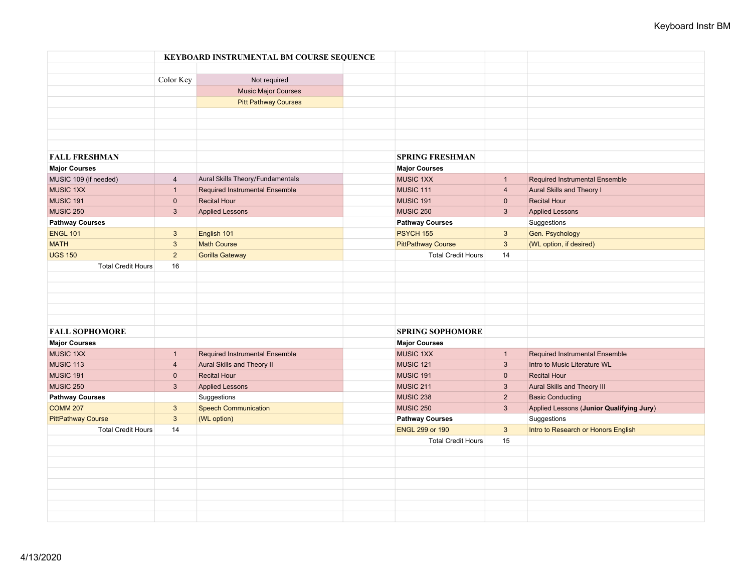|                           |                | KEYBOARD INSTRUMENTAL BM COURSE SEQUENCE |                           |                |                                          |
|---------------------------|----------------|------------------------------------------|---------------------------|----------------|------------------------------------------|
|                           |                |                                          |                           |                |                                          |
|                           | Color Key      | Not required                             |                           |                |                                          |
|                           |                | <b>Music Major Courses</b>               |                           |                |                                          |
|                           |                | <b>Pitt Pathway Courses</b>              |                           |                |                                          |
|                           |                |                                          |                           |                |                                          |
|                           |                |                                          |                           |                |                                          |
|                           |                |                                          |                           |                |                                          |
|                           |                |                                          |                           |                |                                          |
| <b>FALL FRESHMAN</b>      |                |                                          | <b>SPRING FRESHMAN</b>    |                |                                          |
| <b>Major Courses</b>      |                |                                          | <b>Major Courses</b>      |                |                                          |
| MUSIC 109 (if needed)     | $\overline{4}$ | Aural Skills Theory/Fundamentals         | <b>MUSIC 1XX</b>          | $\mathbf{1}$   | <b>Required Instrumental Ensemble</b>    |
| <b>MUSIC 1XX</b>          | $\mathbf{1}$   | <b>Required Instrumental Ensemble</b>    | <b>MUSIC 111</b>          | $\overline{4}$ | Aural Skills and Theory I                |
| MUSIC 191                 | $\mathbf 0$    | <b>Recital Hour</b>                      | <b>MUSIC 191</b>          | $\mathbf{0}$   | <b>Recital Hour</b>                      |
| <b>MUSIC 250</b>          | $\mathbf{3}$   | <b>Applied Lessons</b>                   | MUSIC 250                 | $\mathbf{3}$   | <b>Applied Lessons</b>                   |
| <b>Pathway Courses</b>    |                |                                          | <b>Pathway Courses</b>    |                | Suggestions                              |
| <b>ENGL 101</b>           | $\mathbf{3}$   | English 101                              | <b>PSYCH 155</b>          | $\mathbf{3}$   | Gen. Psychology                          |
| <b>MATH</b>               | $\mathbf{3}$   | <b>Math Course</b>                       | <b>PittPathway Course</b> | $\mathbf{3}$   | (WL option, if desired)                  |
| <b>UGS 150</b>            | $\overline{2}$ | <b>Gorilla Gateway</b>                   | <b>Total Credit Hours</b> | 14             |                                          |
| <b>Total Credit Hours</b> | 16             |                                          |                           |                |                                          |
|                           |                |                                          |                           |                |                                          |
|                           |                |                                          |                           |                |                                          |
|                           |                |                                          |                           |                |                                          |
|                           |                |                                          |                           |                |                                          |
|                           |                |                                          |                           |                |                                          |
| <b>FALL SOPHOMORE</b>     |                |                                          | <b>SPRING SOPHOMORE</b>   |                |                                          |
| <b>Major Courses</b>      |                |                                          | <b>Major Courses</b>      |                |                                          |
| <b>MUSIC 1XX</b>          | $\mathbf{1}$   | <b>Required Instrumental Ensemble</b>    | <b>MUSIC 1XX</b>          | $\mathbf{1}$   | <b>Required Instrumental Ensemble</b>    |
| MUSIC 113                 | $\overline{4}$ | Aural Skills and Theory II               | <b>MUSIC 121</b>          | $\mathbf{3}$   | Intro to Music Literature WL             |
| MUSIC 191                 | $\mathbf 0$    | <b>Recital Hour</b>                      | <b>MUSIC 191</b>          | $\mathbf{0}$   | <b>Recital Hour</b>                      |
| <b>MUSIC 250</b>          | $\mathbf{3}$   | <b>Applied Lessons</b>                   | MUSIC 211                 | $\mathbf{3}$   | Aural Skills and Theory III              |
| <b>Pathway Courses</b>    |                | Suggestions                              | MUSIC 238                 | $2^{\circ}$    | <b>Basic Conducting</b>                  |
| <b>COMM 207</b>           | $\mathbf{3}$   | <b>Speech Communication</b>              | MUSIC 250                 | $\mathbf{3}$   | Applied Lessons (Junior Qualifying Jury) |
| <b>PittPathway Course</b> | $\mathbf{3}$   | (WL option)                              | <b>Pathway Courses</b>    |                | Suggestions                              |
| <b>Total Credit Hours</b> | 14             |                                          | <b>ENGL 299 or 190</b>    | $\mathbf{3}$   | Intro to Research or Honors English      |
|                           |                |                                          | <b>Total Credit Hours</b> | 15             |                                          |
|                           |                |                                          |                           |                |                                          |
|                           |                |                                          |                           |                |                                          |
|                           |                |                                          |                           |                |                                          |
|                           |                |                                          |                           |                |                                          |
|                           |                |                                          |                           |                |                                          |
|                           |                |                                          |                           |                |                                          |
|                           |                |                                          |                           |                |                                          |